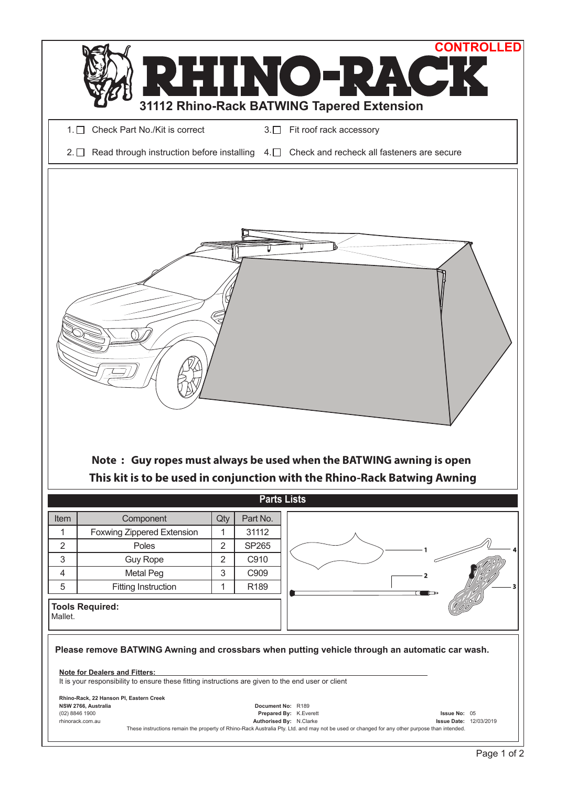